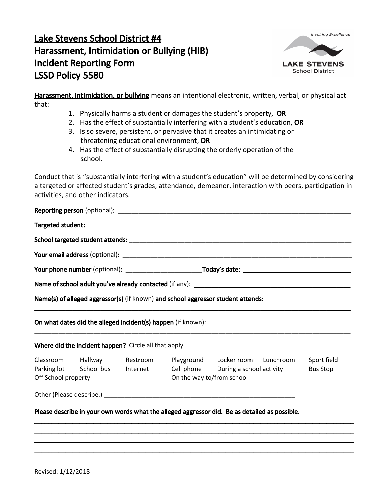## Lake Stevens School District #4 Harassment, Intimidation or Bullying (HIB) Incident Reporting Form LSSD Policy 5580



Harassment, intimidation, or bullying means an intentional electronic, written, verbal, or physical act that:

- 1. Physically harms a student or damages the student's property, OR
- 2. Has the effect of substantially interfering with a student's education, OR
- 3. Is so severe, persistent, or pervasive that it creates an intimidating or threatening educational environment, OR
- 4. Has the effect of substantially disrupting the orderly operation of the school.

Conduct that is "substantially interfering with a student's education" will be determined by considering a targeted or affected student's grades, attendance, demeanor, interaction with peers, participation in activities, and other indicators.

| Off School property |  |                                 |                                                                                                                                                     | Sport field<br><b>Bus Stop</b>                                                                                                                                                                                                                                                            |  |
|---------------------|--|---------------------------------|-----------------------------------------------------------------------------------------------------------------------------------------------------|-------------------------------------------------------------------------------------------------------------------------------------------------------------------------------------------------------------------------------------------------------------------------------------------|--|
|                     |  |                                 |                                                                                                                                                     |                                                                                                                                                                                                                                                                                           |  |
|                     |  |                                 |                                                                                                                                                     |                                                                                                                                                                                                                                                                                           |  |
|                     |  | Parking lot School bus Internet | On what dates did the alleged incident(s) happen (if known):<br>Where did the incident happen? Circle all that apply.<br>Classroom Hallway Restroom | Name(s) of alleged aggressor(s) (if known) and school aggressor student attends:<br>Playground Locker room Lunchroom<br>Cell phone During a school activity<br>On the way to/from school<br>Please describe in your own words what the alleged aggressor did. Be as detailed as possible. |  |